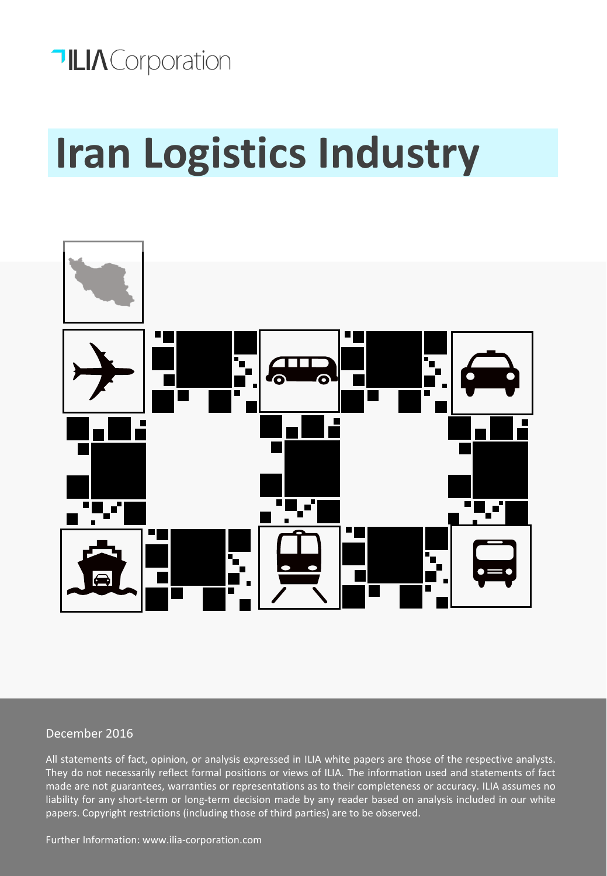# **TILIA** Corporation

# **Iran Logistics Industry**



### December 2016

All statements of fact, opinion, or analysis expressed in ILIA white papers are those of the respective analysts. They do not necessarily reflect formal positions or views of ILIA. The information used and statements of fact made are not guarantees, warranties or representations as to their completeness or accuracy. ILIA assumes no liability for any short-term or long-term decision made by any reader based on analysis included in our white papers. Copyright restrictions (including those of third parties) are to be observed.

Further Information: www.ilia-corporation.com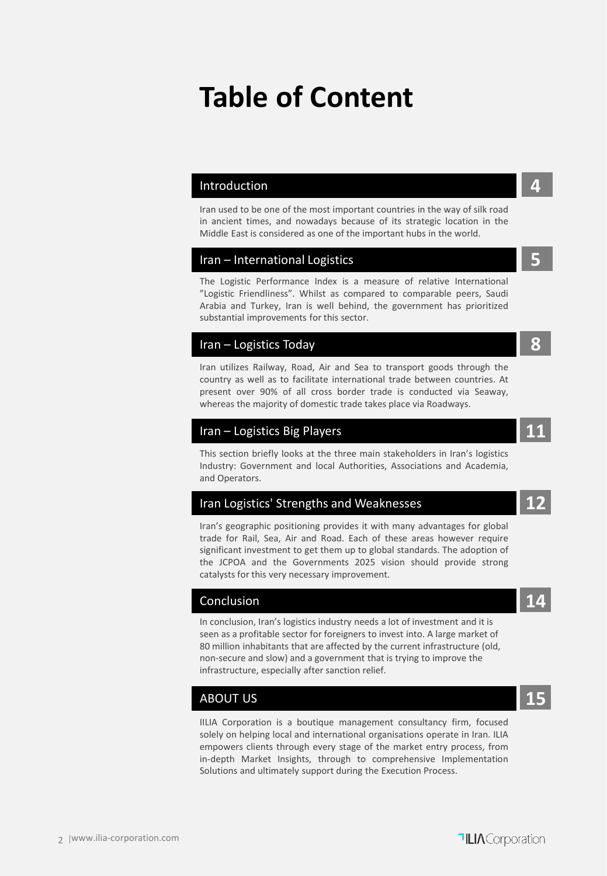## **Table of Content**

#### Introduction **4**

Iran used to be one of the most important countries in the way of silk road in ancient times, and nowadays because of its strategic location in the Middle East is considered as one of the important hubs in the world.

#### Iran – International Logistics **5**

The Logistic Performance Index is a measure of relative International "Logistic Friendliness". Whilst as compared to comparable peers, Saudi Arabia and Turkey, Iran is well behind, the government has prioritized substantial improvements for this sector.

#### Iran – Logistics Today **8**

Iran utilizes Railway, Road, Air and Sea to transport goods through the country as well as to facilitate international trade between countries. At present over 90% of all cross border trade is conducted via Seaway, whereas the majority of domestic trade takes place via Roadways.

#### Iran – Logistics Big Players **11**

This section briefly looks at the three main stakeholders in Iran's logistics Industry: Government and local Authorities, Associations and Academia, and Operators.

### Iran Logistics' Strengths and Weaknesses **12**

Iran's geographic positioning provides it with many advantages for global trade for Rail, Sea, Air and Road. Each of these areas however require significant investment to get them up to global standards. The adoption of the JCPOA and the Governments 2025 vision should provide strong catalysts for this very necessary improvement.

### Conclusion **14**

In conclusion, Iran's logistics industry needs a lot of investment and it is seen as a profitable sector for foreigners to invest into. A large market of 80 million inhabitants that are affected by the current infrastructure (old, non-secure and slow) and a government that is trying to improve the infrastructure, especially after sanction relief.

### ABOUT US **15**

IILIA Corporation is a boutique management consultancy firm, focused solely on helping local and international organisations operate in Iran. ILIA empowers clients through every stage of the market entry process, from in-depth Market Insights, through to comprehensive Implementation Solutions and ultimately support during the Execution Process.

### **TILIA** Corporation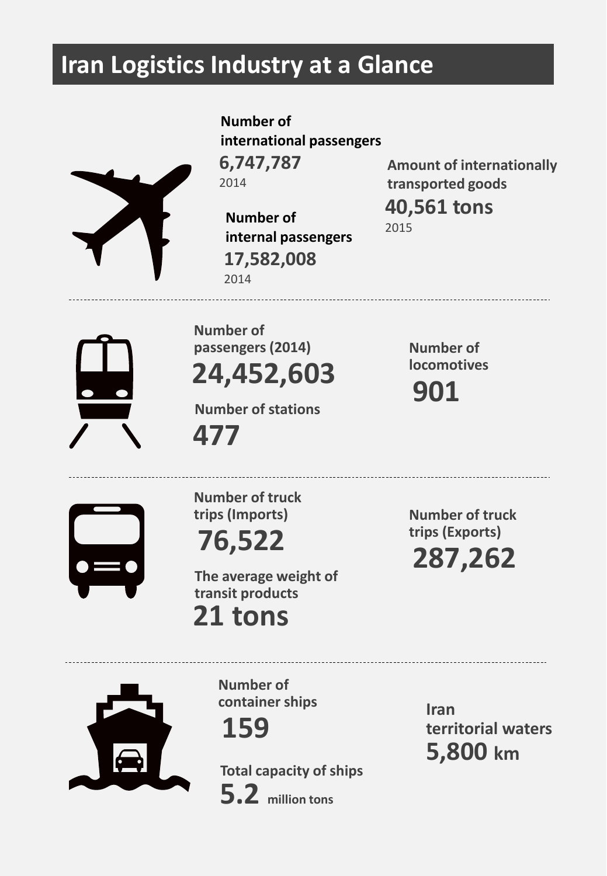### **Iran Logistics Industry at a Glance**

**Number of international passengers 6,747,787** 2014



**Number of internal passengers 17,582,008** 2014

**Amount of internationally transported goods**

**40,561 tons** 2015



**locomotives 24,452,603 Number of passengers (2014)**

**477 Number of stations**

**901 Number of** 



**trips (Exports) 76,522 Number of truck trips (Imports)**

**287,262 Number of truck** 

**21 tons The average weight of transit products** 



**Number of container ships** 

**159**

**5.2 million tons Total capacity of ships** **5,800 km Iran territorial waters**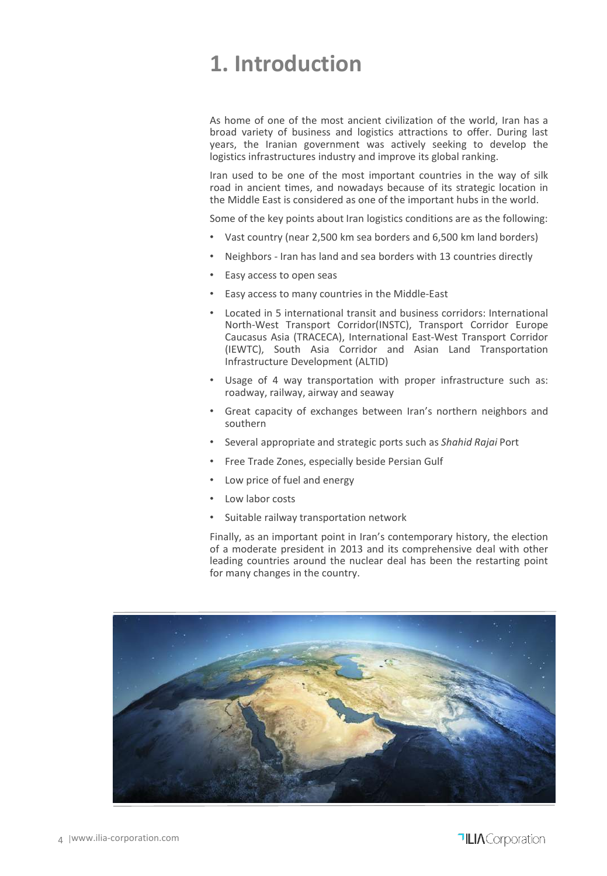### **1. Introduction**

As home of one of the most ancient civilization of the world, Iran has a broad variety of business and logistics attractions to offer. During last years, the Iranian government was actively seeking to develop the logistics infrastructures industry and improve its global ranking.

Iran used to be one of the most important countries in the way of silk road in ancient times, and nowadays because of its strategic location in the Middle East is considered as one of the important hubs in the world.

Some of the key points about Iran logistics conditions are as the following:

- Vast country (near 2,500 km sea borders and 6,500 km land borders)
- Neighbors Iran has land and sea borders with 13 countries directly
- Easy access to open seas
- Easy access to many countries in the Middle-East
- Located in 5 international transit and business corridors: International North-West Transport Corridor(INSTC), Transport Corridor Europe Caucasus Asia (TRACECA), International East-West Transport Corridor (IEWTC), South Asia Corridor and Asian Land Transportation Infrastructure Development (ALTID)
- Usage of 4 way transportation with proper infrastructure such as: roadway, railway, airway and seaway
- Great capacity of exchanges between Iran's northern neighbors and southern
- Several appropriate and strategic ports such as *Shahid Rajai* Port
- Free Trade Zones, especially beside Persian Gulf
- Low price of fuel and energy
- Low labor costs
- Suitable railway transportation network

Finally, as an important point in Iran's contemporary history, the election of a moderate president in 2013 and its comprehensive deal with other leading countries around the nuclear deal has been the restarting point for many changes in the country.

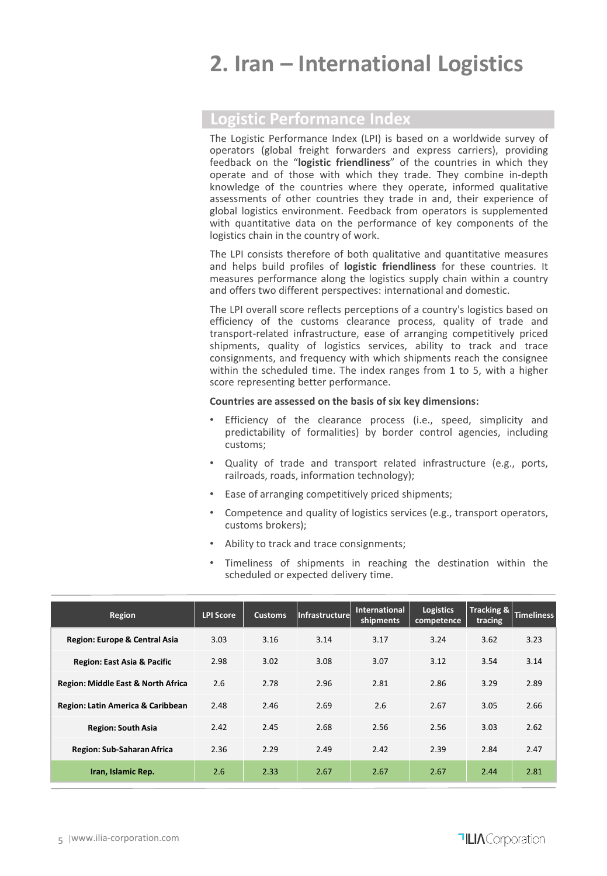### **2. Iran – International Logistics**

### **Logistic Performance Index**

The Logistic Performance Index (LPI) is based on a worldwide survey of operators (global freight forwarders and express carriers), providing feedback on the "**logistic friendliness**" of the countries in which they operate and of those with which they trade. They combine in-depth knowledge of the countries where they operate, informed qualitative assessments of other countries they trade in and, their experience of global logistics environment. Feedback from operators is supplemented with quantitative data on the performance of key components of the logistics chain in the country of work.

The LPI consists therefore of both qualitative and quantitative measures and helps build profiles of **logistic friendliness** for these countries. It measures performance along the logistics supply chain within a country and offers two different perspectives: international and domestic.

The LPI overall score reflects perceptions of a country's logistics based on efficiency of the customs clearance process, quality of trade and transport-related infrastructure, ease of arranging competitively priced shipments, quality of logistics services, ability to track and trace consignments, and frequency with which shipments reach the consignee within the scheduled time. The index ranges from 1 to 5, with a higher score representing better performance.

#### **Countries are assessed on the basis of six key dimensions:**

- Efficiency of the clearance process (i.e., speed, simplicity and predictability of formalities) by border control agencies, including customs;
- Quality of trade and transport related infrastructure (e.g., ports, railroads, roads, information technology);
- Ease of arranging competitively priced shipments;
- Competence and quality of logistics services (e.g., transport operators, customs brokers);
- Ability to track and trace consignments;
- Timeliness of shipments in reaching the destination within the scheduled or expected delivery time.

| <b>Region</b>                          | <b>LPI Score</b> | <b>Customs</b> | Infrastructurel | <b>International</b><br>shipments | <b>Logistics</b><br>competence | <b>Tracking &amp;</b><br>tracing | <b>Timeliness</b> |
|----------------------------------------|------------------|----------------|-----------------|-----------------------------------|--------------------------------|----------------------------------|-------------------|
| Region: Europe & Central Asia          | 3.03             | 3.16           | 3.14            | 3.17                              | 3.24                           | 3.62                             | 3.23              |
| <b>Region: East Asia &amp; Pacific</b> | 2.98             | 3.02           | 3.08            | 3.07                              | 3.12                           | 3.54                             | 3.14              |
| Region: Middle East & North Africa     | 2.6              | 2.78           | 2.96            | 2.81                              | 2.86                           | 3.29                             | 2.89              |
| Region: Latin America & Caribbean      | 2.48             | 2.46           | 2.69            | 2.6                               | 2.67                           | 3.05                             | 2.66              |
| <b>Region: South Asia</b>              | 2.42             | 2.45           | 2.68            | 2.56                              | 2.56                           | 3.03                             | 2.62              |
| Region: Sub-Saharan Africa             | 2.36             | 2.29           | 2.49            | 2.42                              | 2.39                           | 2.84                             | 2.47              |
| Iran, Islamic Rep.                     | 2.6              | 2.33           | 2.67            | 2.67                              | 2.67                           | 2.44                             | 2.81              |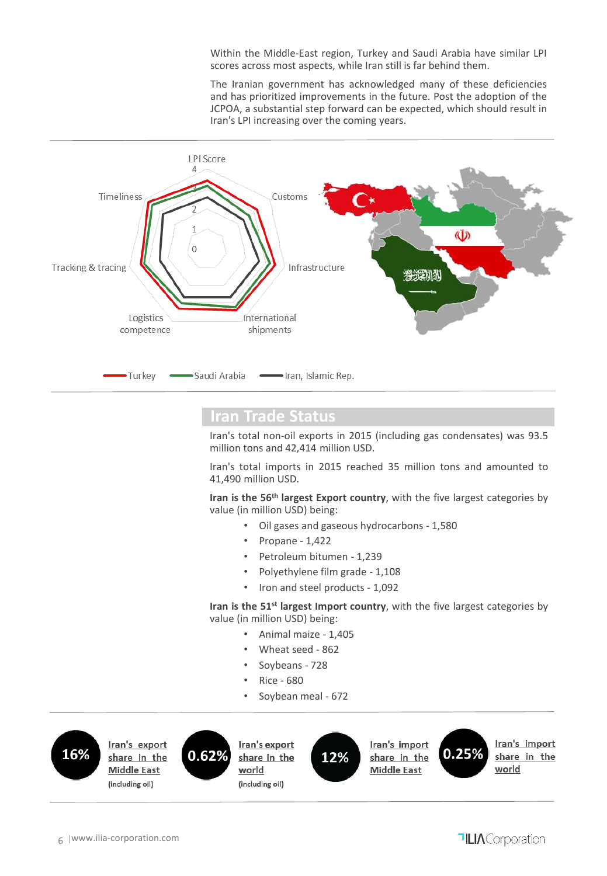Within the Middle-East region, Turkey and Saudi Arabia have similar LPI scores across most aspects, while Iran still is far behind them.

The Iranian government has acknowledged many of these deficiencies and has prioritized improvements in the future. Post the adoption of the JCPOA, a substantial step forward can be expected, which should result in Iran's LPI increasing over the coming years.



### **Iran Trade Status**

Iran's total non-oil exports in 2015 (including gas condensates) was 93.5 million tons and 42,414 million USD.

Iran's total imports in 2015 reached 35 million tons and amounted to 41,490 million USD.

**Iran is the 56th largest Export country**, with the five largest categories by value (in million USD) being:

- Oil gases and gaseous hydrocarbons 1,580
- Propane 1,422
- Petroleum bitumen 1,239
- Polyethylene film grade 1,108
- Iron and steel products 1,092

**Iran is the 51st largest Import country**, with the five largest categories by value (in million USD) being:

- Animal maize 1,405
- Wheat seed 862
- Soybeans 728
- Rice 680
- Soybean meal 672

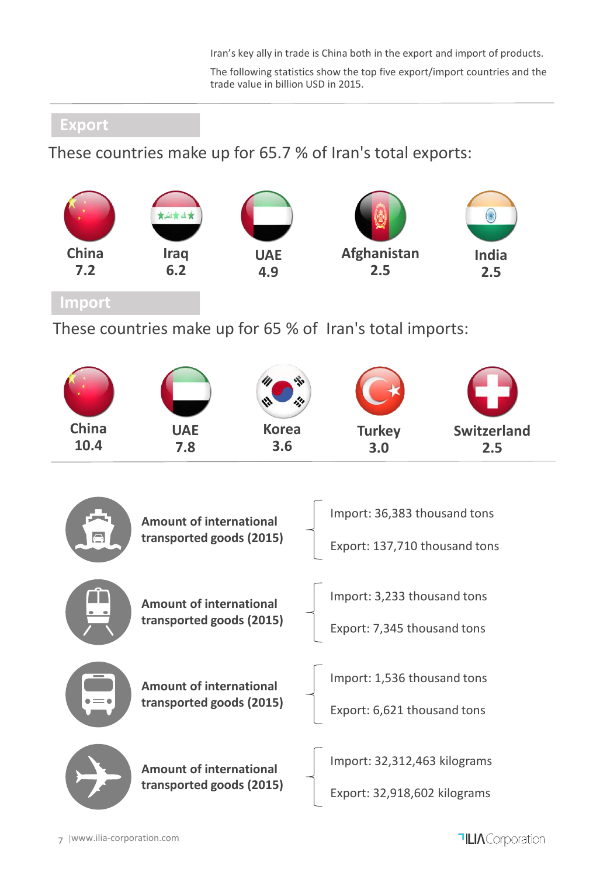Iran's key ally in trade is China both in the export and import of products.

The following statistics show the top five export/import countries and the trade value in billion USD in 2015.

### **Export**

These countries make up for 65.7 % of Iran's total exports:



These countries make up for 65 % of Iran's total imports:



| $\bigoplus$ | <b>Amount of international</b><br>transported goods (2015) | Import: 36,383 thousand tons<br>Export: 137,710 thousand tons |
|-------------|------------------------------------------------------------|---------------------------------------------------------------|
|             | <b>Amount of international</b><br>transported goods (2015) | Import: 3,233 thousand tons<br>Export: 7,345 thousand tons    |
|             | <b>Amount of international</b><br>transported goods (2015) | Import: 1,536 thousand tons<br>Export: 6,621 thousand tons    |
|             | <b>Amount of international</b><br>transported goods (2015) | Import: 32,312,463 kilograms<br>Export: 32,918,602 kilograms  |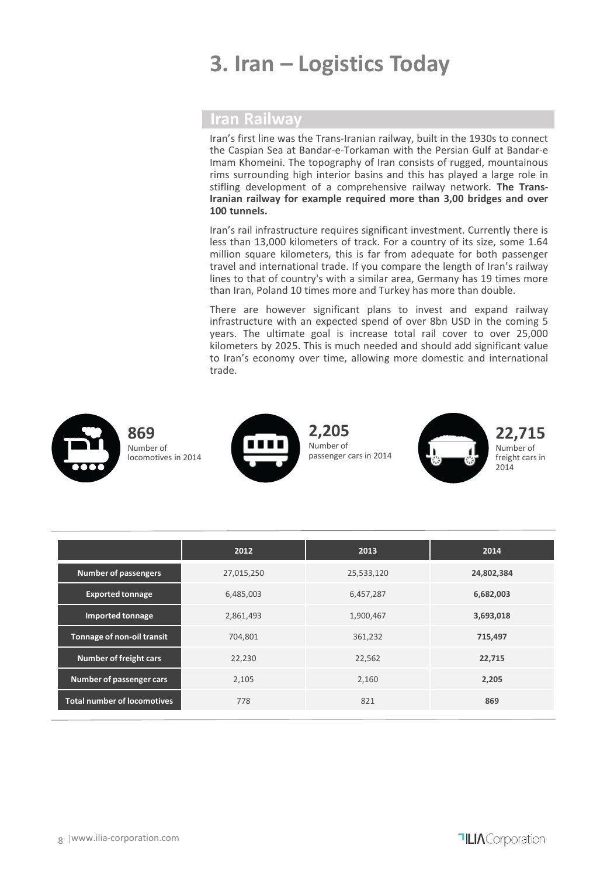### **3. Iran – Logistics Today**

### **Iran Railway**

Iran's first line was the Trans-Iranian railway, built in the 1930s to connect the Caspian Sea at Bandar-e-Torkaman with the Persian Gulf at Bandar-e Imam Khomeini. The topography of Iran consists of rugged, mountainous rims surrounding high interior basins and this has played a large role in stifling development of a comprehensive railway network. **The Trans-Iranian railway for example required more than 3,00 bridges and over 100 tunnels.**

Iran's rail infrastructure requires significant investment. Currently there is less than 13,000 kilometers of track. For a country of its size, some 1.64 million square kilometers, this is far from adequate for both passenger travel and international trade. If you compare the length of Iran's railway lines to that of country's with a similar area, Germany has 19 times more than Iran, Poland 10 times more and Turkey has more than double.

There are however significant plans to invest and expand railway infrastructure with an expected spend of over 8bn USD in the coming 5 years. The ultimate goal is increase total rail cover to over 25,000 kilometers by 2025. This is much needed and should add significant value to Iran's economy over time, allowing more domestic and international trade.



|                                    | 2012       | 2013       | 2014       |
|------------------------------------|------------|------------|------------|
| <b>Number of passengers</b>        | 27,015,250 | 25,533,120 | 24,802,384 |
| <b>Exported tonnage</b>            | 6,485,003  | 6,457,287  | 6,682,003  |
| <b>Imported tonnage</b>            | 2,861,493  | 1,900,467  | 3,693,018  |
| Tonnage of non-oil transit         | 704.801    | 361,232    | 715,497    |
| <b>Number of freight cars</b>      | 22,230     | 22,562     | 22,715     |
| Number of passenger cars           | 2,105      | 2,160      | 2,205      |
| <b>Total number of locomotives</b> | 778        | 821        | 869        |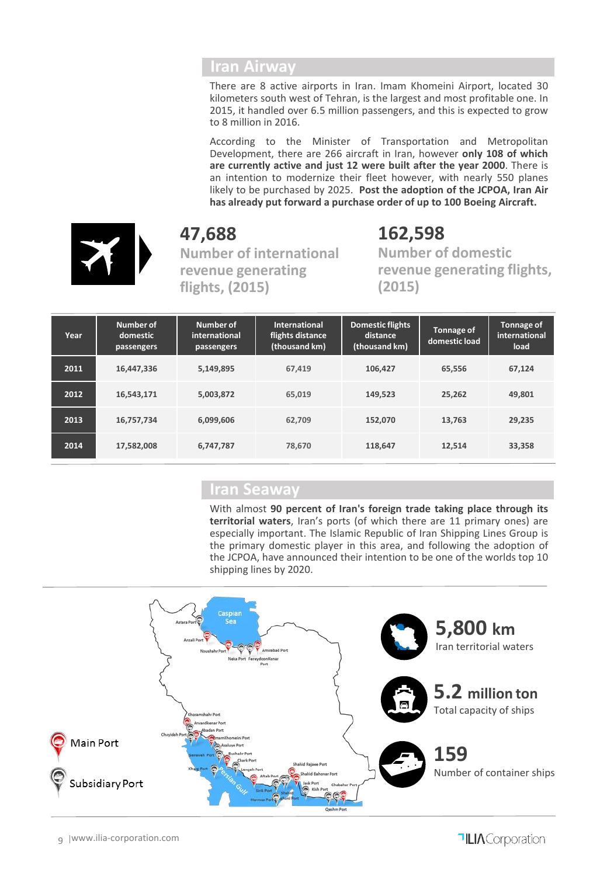### **Iran Airway**

There are 8 active airports in Iran. Imam Khomeini Airport, located 30 kilometers south west of Tehran, is the largest and most profitable one. In 2015, it handled over 6.5 million passengers, and this is expected to grow to 8 million in 2016.

According to the Minister of Transportation and Metropolitan Development, there are 266 aircraft in Iran, however **only 108 of which are currently active and just 12 were built after the year 2000**. There is an intention to modernize their fleet however, with nearly 550 planes likely to be purchased by 2025. **Post the adoption of the JCPOA, Iran Air has already put forward a purchase order of up to 100 Boeing Aircraft.**



**47,688 Number of international revenue generating flights, (2015)**

**162,598 Number of domestic revenue generating flights, (2015)**

| Year | Number of<br>domestic<br>passengers | Number of<br>international<br>passengers | <b>International</b><br>flights distance<br>(thousand km) | <b>Domestic flights</b><br>distance<br>(thousand km) | Tonnage of<br>domestic load | <b>Tonnage of</b><br>international<br>load |
|------|-------------------------------------|------------------------------------------|-----------------------------------------------------------|------------------------------------------------------|-----------------------------|--------------------------------------------|
| 2011 | 16,447,336                          | 5,149,895                                | 67.419                                                    | 106,427                                              | 65,556                      | 67,124                                     |
| 2012 | 16,543,171                          | 5,003,872                                | 65.019                                                    | 149,523                                              | 25,262                      | 49,801                                     |
| 2013 | 16,757,734                          | 6.099.606                                | 62.709                                                    | 152,070                                              | 13.763                      | 29,235                                     |
| 2014 | 17,582,008                          | 6,747,787                                | 78.670                                                    | 118,647                                              | 12,514                      | 33,358                                     |

### **Iran Seaway**

With almost **90 percent of Iran's foreign trade taking place through its territorial waters**, Iran's ports (of which there are 11 primary ones) are especially important. The Islamic Republic of Iran Shipping Lines Group is the primary domestic player in this area, and following the adoption of the JCPOA, have announced their intention to be one of the worlds top 10 shipping lines by 2020.

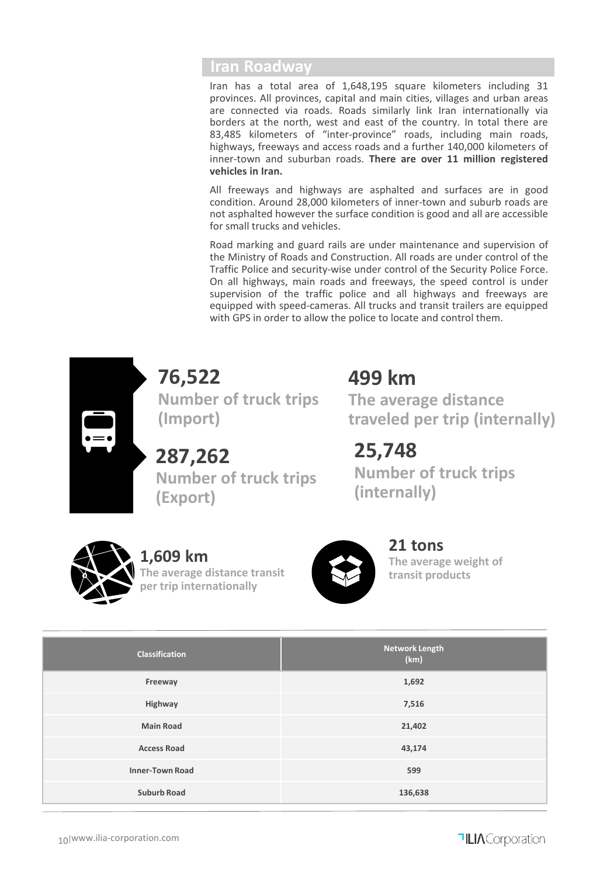### **Iran Roadway**

Iran has a total area of 1,648,195 square kilometers including 31 provinces. All provinces, capital and main cities, villages and urban areas are connected via roads. Roads similarly link Iran internationally via borders at the north, west and east of the country. In total there are 83,485 kilometers of "inter-province" roads, including main roads, highways, freeways and access roads and a further 140,000 kilometers of inner-town and suburban roads. **There are over 11 million registered vehicles in Iran.**

All freeways and highways are asphalted and surfaces are in good condition. Around 28,000 kilometers of inner-town and suburb roads are not asphalted however the surface condition is good and all are accessible for small trucks and vehicles.

Road marking and guard rails are under maintenance and supervision of the Ministry of Roads and Construction. All roads are under control of the Traffic Police and security-wise under control of the Security Police Force. On all highways, main roads and freeways, the speed control is under supervision of the traffic police and all highways and freeways are equipped with speed-cameras. All trucks and transit trailers are equipped with GPS in order to allow the police to locate and control them.



**76,522 Number of truck trips (Import)**

**287,262 Number of truck trips (Export)**

### **499 km**

**The average distance traveled per trip (internally)**

**25,748 Number of truck trips (internally)**



### **1,609 km**

**The average distance transit per trip internationally**



**21 tons The average weight of transit products** 

| <b>Classification</b>  | <b>Network Length</b><br>(km) |
|------------------------|-------------------------------|
| Freeway                | 1,692                         |
| Highway                | 7,516                         |
| <b>Main Road</b>       | 21,402                        |
| <b>Access Road</b>     | 43,174                        |
| <b>Inner-Town Road</b> | 599                           |
| <b>Suburb Road</b>     | 136,638                       |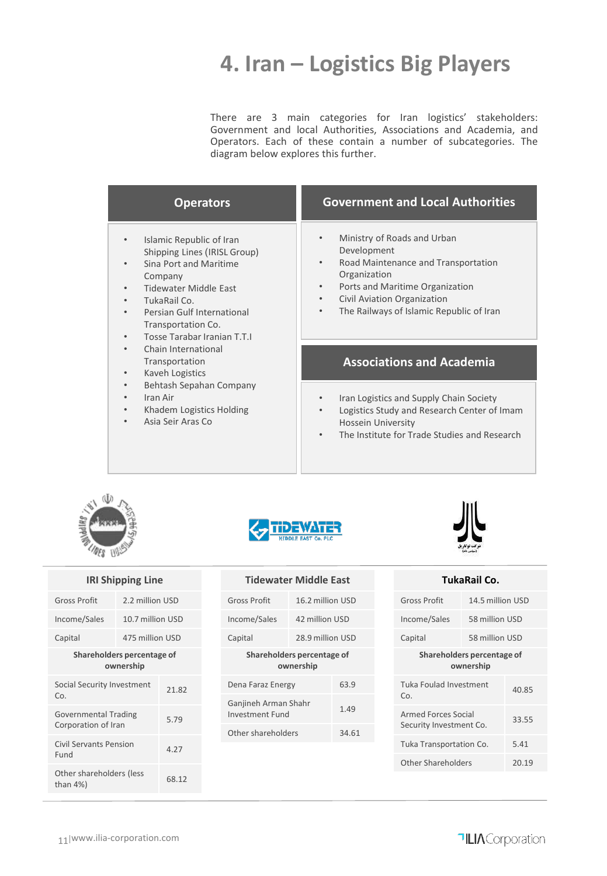### **4. Iran – Logistics Big Players**

There are 3 main categories for Iran logistics' stakeholders: Government and local Authorities, Associations and Academia, and Operators. Each of these contain a number of subcategories. The diagram below explores this further.

| <b>Operators</b>                                                                                                                                                                                                                                                                           | <b>Government and Local Authorities</b>                                                                                                                                                                                                                             |
|--------------------------------------------------------------------------------------------------------------------------------------------------------------------------------------------------------------------------------------------------------------------------------------------|---------------------------------------------------------------------------------------------------------------------------------------------------------------------------------------------------------------------------------------------------------------------|
| Islamic Republic of Iran<br>$\bullet$<br>Shipping Lines (IRISL Group)<br>Sina Port and Maritime<br>$\bullet$<br>Company<br>Tidewater Middle East<br>$\bullet$<br>TukaRail Co.<br>$\bullet$<br>Persian Gulf International<br>$\bullet$<br>Transportation Co.<br>Tosse Tarabar Iranian T.T.I | Ministry of Roads and Urban<br>Development<br>Road Maintenance and Transportation<br>$\bullet$<br>Organization<br>Ports and Maritime Organization<br>$\bullet$<br>Civil Aviation Organization<br>$\bullet$<br>The Railways of Islamic Republic of Iran<br>$\bullet$ |
| Chain International<br>٠<br>Transportation<br>Kaveh Logistics<br>$\bullet$                                                                                                                                                                                                                 | <b>Associations and Academia</b>                                                                                                                                                                                                                                    |
| Behtash Sepahan Company<br>$\bullet$<br>Iran Air<br>$\bullet$<br>Khadem Logistics Holding<br>$\bullet$<br>Asia Seir Aras Co                                                                                                                                                                | Iran Logistics and Supply Chain Society<br>Logistics Study and Research Center of Imam<br><b>Hossein University</b><br>The Institute for Trade Studies and Research                                                                                                 |









| Tidewater Middle East |  |
|-----------------------|--|
|                       |  |

| <b>Gross Profit</b>                             | 16.2 million USD |                |  |
|-------------------------------------------------|------------------|----------------|--|
| Income/Sales                                    |                  | 42 million USD |  |
| Capital                                         | 28.9 million USD |                |  |
| Shareholders percentage of<br>ownership         |                  |                |  |
| 63.9<br>Dena Faraz Energy                       |                  |                |  |
| Ganjineh Arman Shahr<br>1.49<br>Investment Fund |                  |                |  |
| Other shareholders                              |                  | 34.61          |  |
|                                                 |                  |                |  |

| TukaRail Co.                                   |                  |       |  |
|------------------------------------------------|------------------|-------|--|
| Gross Profit                                   | 14.5 million USD |       |  |
| Income/Sales                                   | 58 million USD   |       |  |
| Capital                                        | 58 million USD   |       |  |
| Shareholders percentage of<br>ownership        |                  |       |  |
| Tuka Foulad Investment<br>Co.                  |                  | 40.85 |  |
| Armed Forces Social<br>Security Investment Co. |                  | 33.55 |  |
| 5.41<br>Tuka Transportation Co.                |                  |       |  |
| <b>Other Shareholders</b>                      |                  | 20.19 |  |
|                                                |                  |       |  |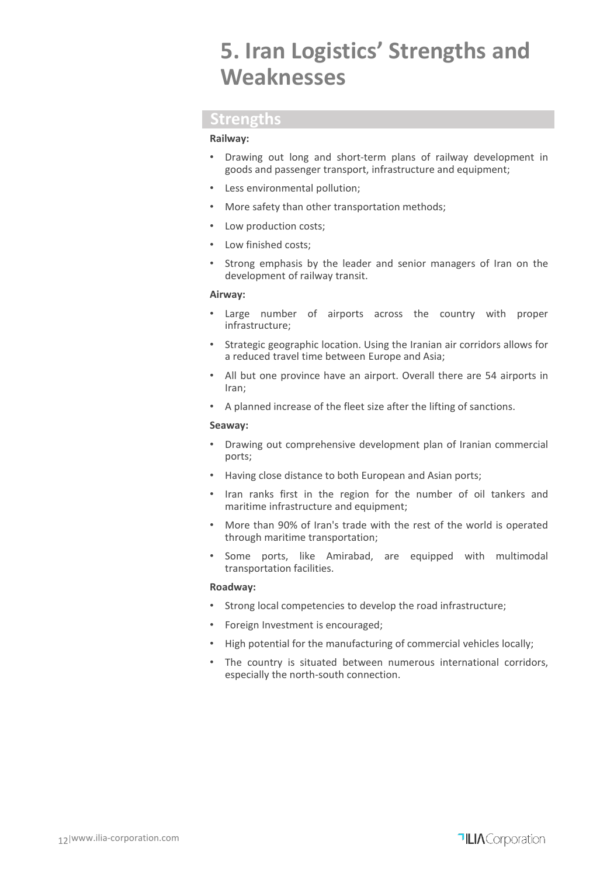### **5. Iran Logistics' Strengths and Weaknesses**

### **Strengths**

#### **Railway:**

- Drawing out long and short-term plans of railway development in goods and passenger transport, infrastructure and equipment;
- Less environmental pollution;
- More safety than other transportation methods;
- Low production costs;
- Low finished costs;
- Strong emphasis by the leader and senior managers of Iran on the development of railway transit.

#### **Airway:**

- Large number of airports across the country with proper infrastructure;
- Strategic geographic location. Using the Iranian air corridors allows for a reduced travel time between Europe and Asia;
- All but one province have an airport. Overall there are 54 airports in Iran;
- A planned increase of the fleet size after the lifting of sanctions.

#### **Seaway:**

- Drawing out comprehensive development plan of Iranian commercial ports;
- Having close distance to both European and Asian ports;
- Iran ranks first in the region for the number of oil tankers and maritime infrastructure and equipment;
- More than 90% of Iran's trade with the rest of the world is operated through maritime transportation;
- Some ports, like Amirabad, are equipped with multimodal transportation facilities.

#### **Roadway:**

- Strong local competencies to develop the road infrastructure;
- Foreign Investment is encouraged;
- High potential for the manufacturing of commercial vehicles locally;
- The country is situated between numerous international corridors, especially the north-south connection.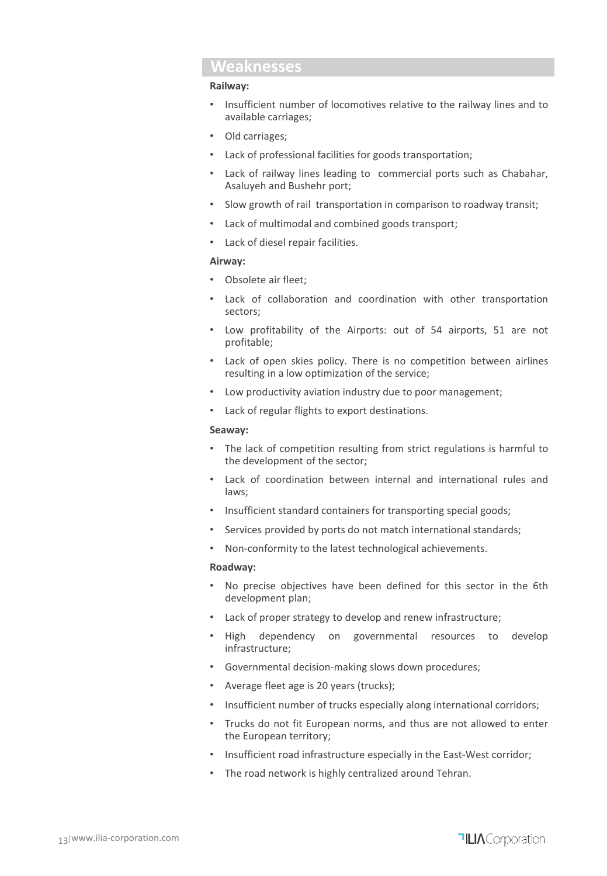### **Weaknesses**

#### **Railway:**

- Insufficient number of locomotives relative to the railway lines and to available carriages;
- Old carriages;
- Lack of professional facilities for goods transportation;
- Lack of railway lines leading to commercial ports such as Chabahar, Asaluyeh and Bushehr port;
- Slow growth of rail transportation in comparison to roadway transit;
- Lack of multimodal and combined goods transport;
- Lack of diesel repair facilities.

#### **Airway:**

- Obsolete air fleet;
- Lack of collaboration and coordination with other transportation sectors;
- Low profitability of the Airports: out of 54 airports, 51 are not profitable;
- Lack of open skies policy. There is no competition between airlines resulting in a low optimization of the service;
- Low productivity aviation industry due to poor management;
- Lack of regular flights to export destinations.

#### **Seaway:**

- The lack of competition resulting from strict regulations is harmful to the development of the sector;
- Lack of coordination between internal and international rules and laws;
- Insufficient standard containers for transporting special goods;
- Services provided by ports do not match international standards;
- Non-conformity to the latest technological achievements.

#### **Roadway:**

- No precise objectives have been defined for this sector in the 6th development plan;
- Lack of proper strategy to develop and renew infrastructure;
- High dependency on governmental resources to develop infrastructure;
- Governmental decision-making slows down procedures;
- Average fleet age is 20 years (trucks);
- Insufficient number of trucks especially along international corridors;
- Trucks do not fit European norms, and thus are not allowed to enter the European territory;
- Insufficient road infrastructure especially in the East-West corridor;
- The road network is highly centralized around Tehran.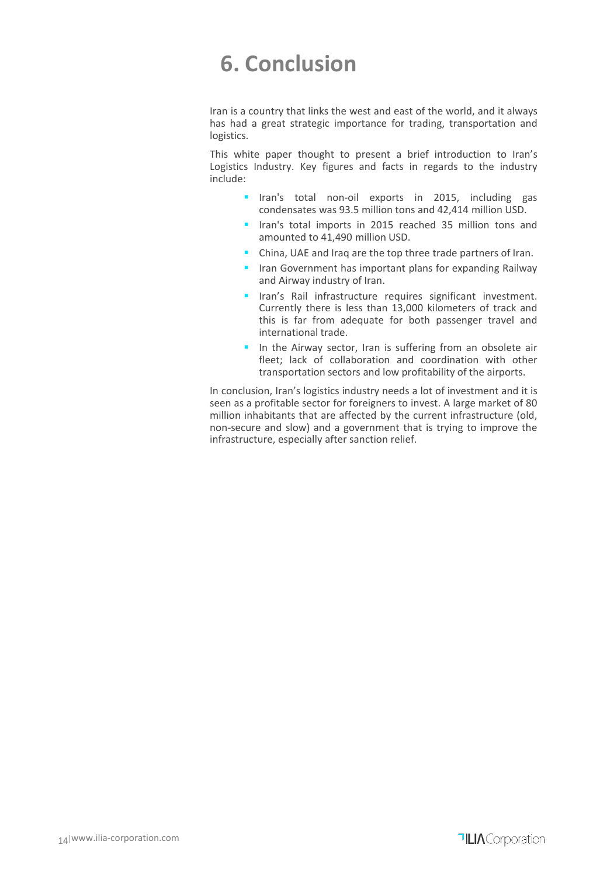### **6. Conclusion**

Iran is a country that links the west and east of the world, and it always has had a great strategic importance for trading, transportation and logistics.

This white paper thought to present a brief introduction to Iran's Logistics Industry. Key figures and facts in regards to the industry include:

- **If an**'s total non-oil exports in 2015, including gas condensates was 93.5 million tons and 42,414 million USD.
- **If** Iran's total imports in 2015 reached 35 million tons and amounted to 41,490 million USD.
- China, UAE and Iraq are the top three trade partners of Iran.
- **If all a** Iran Government has important plans for expanding Railway and Airway industry of Iran.
- **IFALL 19 Iran's Rail infrastructure requires significant investment.** Currently there is less than 13,000 kilometers of track and this is far from adequate for both passenger travel and international trade.
- In the Airway sector, Iran is suffering from an obsolete air fleet; lack of collaboration and coordination with other transportation sectors and low profitability of the airports.

In conclusion, Iran's logistics industry needs a lot of investment and it is seen as a profitable sector for foreigners to invest. A large market of 80 million inhabitants that are affected by the current infrastructure (old, non-secure and slow) and a government that is trying to improve the infrastructure, especially after sanction relief.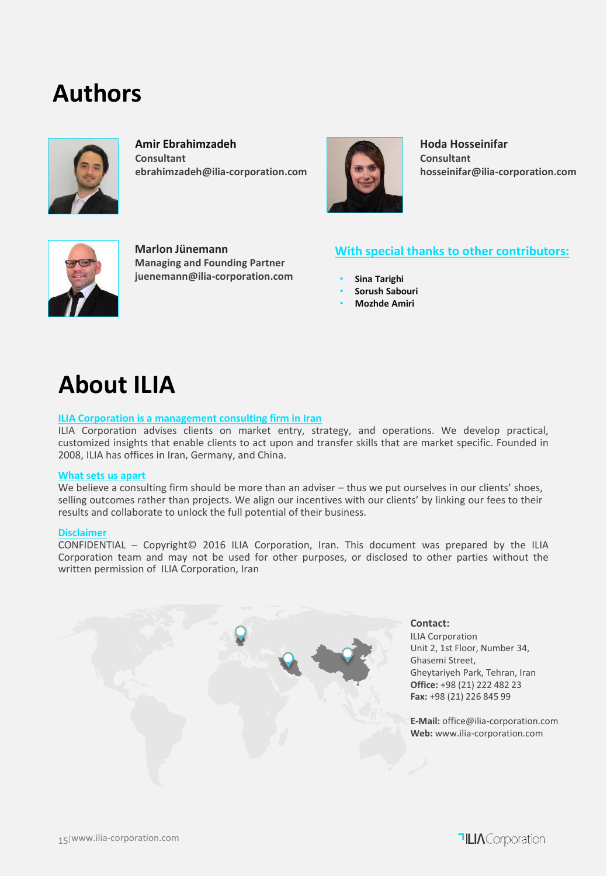### **Authors**



**Amir Ebrahimzadeh Consultant ebrahimzadeh@ilia-corporation.com**



**Hoda Hosseinifar Consultant hosseinifar@ilia-corporation.com**



**Marlon Jünemann Managing and Founding Partner juenemann@ilia-corporation.com**

### **With special thanks to other contributors:**

- **Sina Tarighi**
- **Sorush Sabouri**
- **Mozhde Amiri**

### **About ILIA**

#### **ILIA Corporation is a management consulting firm in Iran**

ILIA Corporation advises clients on market entry, strategy, and operations. We develop practical, customized insights that enable clients to act upon and transfer skills that are market specific. Founded in 2008, ILIA has offices in Iran, Germany, and China.

#### **What sets us apart**

We believe a consulting firm should be more than an adviser – thus we put ourselves in our clients' shoes, selling outcomes rather than projects. We align our incentives with our clients' by linking our fees to their results and collaborate to unlock the full potential of their business.

#### **Disclaimer**

CONFIDENTIAL – Copyright© 2016 ILIA Corporation, Iran. This document was prepared by the ILIA Corporation team and may not be used for other purposes, or disclosed to other parties without the written permission of ILIA Corporation, Iran

> **Contact:** ILIA Corporation Unit 2, 1st Floor, Number 34, Ghasemi Street, Gheytariyeh Park, Tehran, Iran **Office:** +98 (21) 222 482 23 **Fax:** +98 (21) 226 845 99

**E-Mail:** office@ilia-corporation.com **Web:** www.ilia-corporation.com